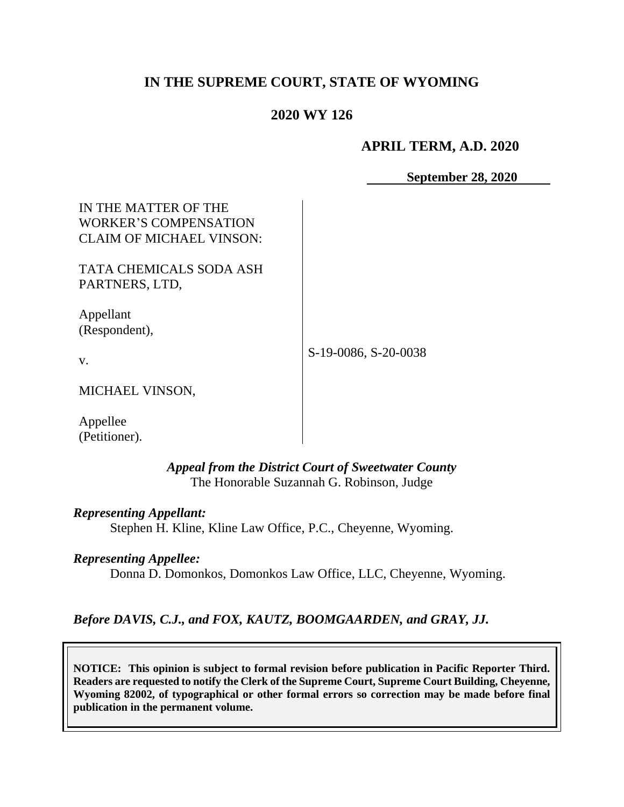# **IN THE SUPREME COURT, STATE OF WYOMING**

## **2020 WY 126**

#### **APRIL TERM, A.D. 2020**

**September 28, 2020** 

| IN THE MATTER OF THE<br>WORKER'S COMPENSATION<br><b>CLAIM OF MICHAEL VINSON:</b> |                      |
|----------------------------------------------------------------------------------|----------------------|
| TATA CHEMICALS SODA ASH<br>PARTNERS, LTD,                                        |                      |
| Appellant<br>(Respondent),                                                       |                      |
| V.                                                                               | S-19-0086, S-20-0038 |
| MICHAEL VINSON,                                                                  |                      |
| Appellee<br>(Petitioner).                                                        |                      |

*Appeal from the District Court of Sweetwater County* The Honorable Suzannah G. Robinson, Judge

*Representing Appellant:*

Stephen H. Kline, Kline Law Office, P.C., Cheyenne, Wyoming.

#### *Representing Appellee:*

Donna D. Domonkos, Domonkos Law Office, LLC, Cheyenne, Wyoming.

### *Before DAVIS, C.J., and FOX, KAUTZ, BOOMGAARDEN, and GRAY, JJ.*

**NOTICE: This opinion is subject to formal revision before publication in Pacific Reporter Third. Readers are requested to notify the Clerk of the Supreme Court, Supreme Court Building, Cheyenne, Wyoming 82002, of typographical or other formal errors so correction may be made before final publication in the permanent volume.**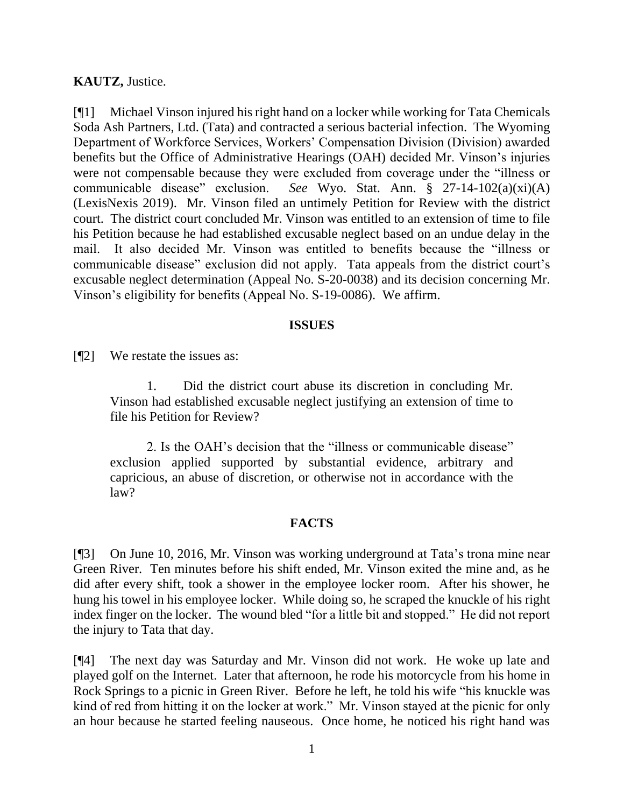### **KAUTZ,** Justice.

[¶1] Michael Vinson injured his right hand on a locker while working for Tata Chemicals Soda Ash Partners, Ltd. (Tata) and contracted a serious bacterial infection. The Wyoming Department of Workforce Services, Workers' Compensation Division (Division) awarded benefits but the Office of Administrative Hearings (OAH) decided Mr. Vinson's injuries were not compensable because they were excluded from coverage under the "illness or communicable disease" exclusion. *See* Wyo. Stat. Ann. § 27-14-102(a)(xi)(A) (LexisNexis 2019). Mr. Vinson filed an untimely Petition for Review with the district court. The district court concluded Mr. Vinson was entitled to an extension of time to file his Petition because he had established excusable neglect based on an undue delay in the mail. It also decided Mr. Vinson was entitled to benefits because the "illness or communicable disease" exclusion did not apply. Tata appeals from the district court's excusable neglect determination (Appeal No. S-20-0038) and its decision concerning Mr. Vinson's eligibility for benefits (Appeal No. S-19-0086). We affirm.

#### **ISSUES**

[¶2] We restate the issues as:

1. Did the district court abuse its discretion in concluding Mr. Vinson had established excusable neglect justifying an extension of time to file his Petition for Review?

2. Is the OAH's decision that the "illness or communicable disease" exclusion applied supported by substantial evidence, arbitrary and capricious, an abuse of discretion, or otherwise not in accordance with the law?

## **FACTS**

[¶3] On June 10, 2016, Mr. Vinson was working underground at Tata's trona mine near Green River. Ten minutes before his shift ended, Mr. Vinson exited the mine and, as he did after every shift, took a shower in the employee locker room. After his shower, he hung his towel in his employee locker. While doing so, he scraped the knuckle of his right index finger on the locker. The wound bled "for a little bit and stopped." He did not report the injury to Tata that day.

[¶4] The next day was Saturday and Mr. Vinson did not work. He woke up late and played golf on the Internet. Later that afternoon, he rode his motorcycle from his home in Rock Springs to a picnic in Green River. Before he left, he told his wife "his knuckle was kind of red from hitting it on the locker at work." Mr. Vinson stayed at the picnic for only an hour because he started feeling nauseous. Once home, he noticed his right hand was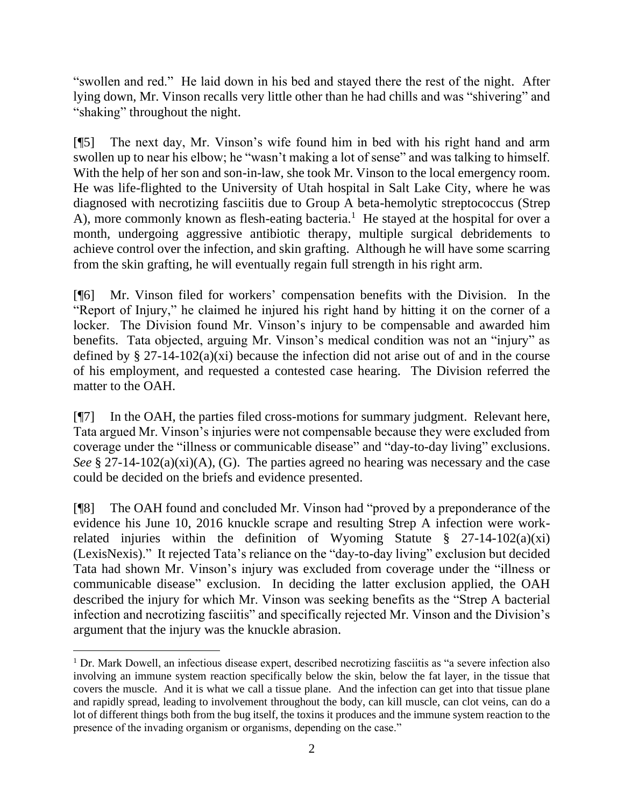"swollen and red." He laid down in his bed and stayed there the rest of the night. After lying down, Mr. Vinson recalls very little other than he had chills and was "shivering" and "shaking" throughout the night.

[¶5] The next day, Mr. Vinson's wife found him in bed with his right hand and arm swollen up to near his elbow; he "wasn't making a lot of sense" and was talking to himself. With the help of her son and son-in-law, she took Mr. Vinson to the local emergency room. He was life-flighted to the University of Utah hospital in Salt Lake City, where he was diagnosed with necrotizing fasciitis due to Group A beta-hemolytic streptococcus (Strep A), more commonly known as flesh-eating bacteria.<sup>1</sup> He stayed at the hospital for over a month, undergoing aggressive antibiotic therapy, multiple surgical debridements to achieve control over the infection, and skin grafting. Although he will have some scarring from the skin grafting, he will eventually regain full strength in his right arm.

[¶6] Mr. Vinson filed for workers' compensation benefits with the Division. In the "Report of Injury," he claimed he injured his right hand by hitting it on the corner of a locker. The Division found Mr. Vinson's injury to be compensable and awarded him benefits. Tata objected, arguing Mr. Vinson's medical condition was not an "injury" as defined by  $\S 27-14-102(a)(xi)$  because the infection did not arise out of and in the course of his employment, and requested a contested case hearing. The Division referred the matter to the OAH.

[¶7] In the OAH, the parties filed cross-motions for summary judgment. Relevant here, Tata argued Mr. Vinson's injuries were not compensable because they were excluded from coverage under the "illness or communicable disease" and "day-to-day living" exclusions. *See* § 27-14-102(a)(xi)(A), (G). The parties agreed no hearing was necessary and the case could be decided on the briefs and evidence presented.

[¶8] The OAH found and concluded Mr. Vinson had "proved by a preponderance of the evidence his June 10, 2016 knuckle scrape and resulting Strep A infection were workrelated injuries within the definition of Wyoming Statute  $\S$  27-14-102(a)(xi) (LexisNexis)." It rejected Tata's reliance on the "day-to-day living" exclusion but decided Tata had shown Mr. Vinson's injury was excluded from coverage under the "illness or communicable disease" exclusion. In deciding the latter exclusion applied, the OAH described the injury for which Mr. Vinson was seeking benefits as the "Strep A bacterial infection and necrotizing fasciitis" and specifically rejected Mr. Vinson and the Division's argument that the injury was the knuckle abrasion.

<sup>&</sup>lt;sup>1</sup> Dr. Mark Dowell, an infectious disease expert, described necrotizing fasciitis as "a severe infection also involving an immune system reaction specifically below the skin, below the fat layer, in the tissue that covers the muscle. And it is what we call a tissue plane. And the infection can get into that tissue plane and rapidly spread, leading to involvement throughout the body, can kill muscle, can clot veins, can do a lot of different things both from the bug itself, the toxins it produces and the immune system reaction to the presence of the invading organism or organisms, depending on the case."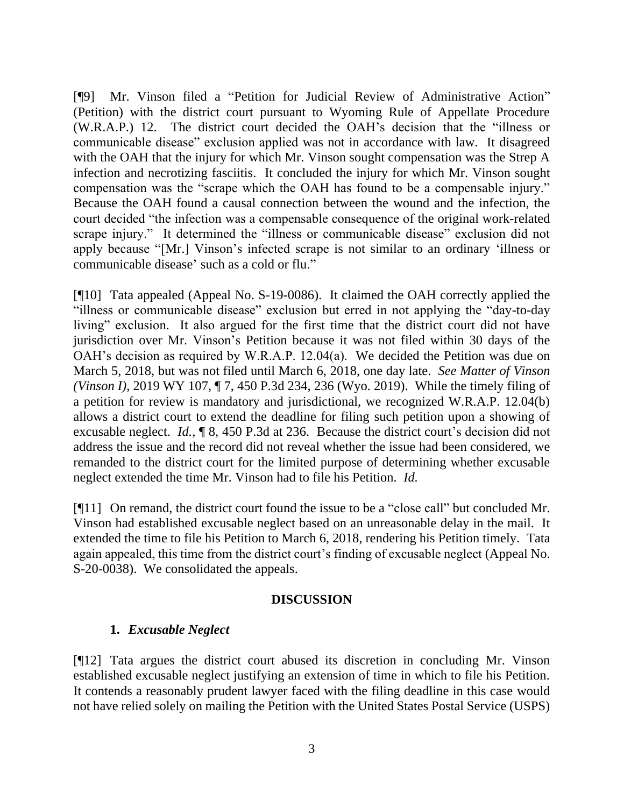[¶9] Mr. Vinson filed a "Petition for Judicial Review of Administrative Action" (Petition) with the district court pursuant to Wyoming Rule of Appellate Procedure (W.R.A.P.) 12. The district court decided the OAH's decision that the "illness or communicable disease" exclusion applied was not in accordance with law. It disagreed with the OAH that the injury for which Mr. Vinson sought compensation was the Strep A infection and necrotizing fasciitis. It concluded the injury for which Mr. Vinson sought compensation was the "scrape which the OAH has found to be a compensable injury." Because the OAH found a causal connection between the wound and the infection, the court decided "the infection was a compensable consequence of the original work-related scrape injury." It determined the "illness or communicable disease" exclusion did not apply because "[Mr.] Vinson's infected scrape is not similar to an ordinary 'illness or communicable disease' such as a cold or flu."

[¶10] Tata appealed (Appeal No. S-19-0086). It claimed the OAH correctly applied the "illness or communicable disease" exclusion but erred in not applying the "day-to-day living" exclusion. It also argued for the first time that the district court did not have jurisdiction over Mr. Vinson's Petition because it was not filed within 30 days of the OAH's decision as required by W.R.A.P. 12.04(a). We decided the Petition was due on March 5, 2018, but was not filed until March 6, 2018, one day late. *See Matter of Vinson (Vinson I)*, 2019 WY 107, ¶ 7, 450 P.3d 234, 236 (Wyo. 2019). While the timely filing of a petition for review is mandatory and jurisdictional, we recognized W.R.A.P. 12.04(b) allows a district court to extend the deadline for filing such petition upon a showing of excusable neglect. *Id.*, ¶ 8, 450 P.3d at 236. Because the district court's decision did not address the issue and the record did not reveal whether the issue had been considered, we remanded to the district court for the limited purpose of determining whether excusable neglect extended the time Mr. Vinson had to file his Petition. *Id.*

[¶11] On remand, the district court found the issue to be a "close call" but concluded Mr. Vinson had established excusable neglect based on an unreasonable delay in the mail. It extended the time to file his Petition to March 6, 2018, rendering his Petition timely. Tata again appealed, this time from the district court's finding of excusable neglect (Appeal No. S-20-0038). We consolidated the appeals.

### **DISCUSSION**

## **1.** *Excusable Neglect*

[¶12] Tata argues the district court abused its discretion in concluding Mr. Vinson established excusable neglect justifying an extension of time in which to file his Petition. It contends a reasonably prudent lawyer faced with the filing deadline in this case would not have relied solely on mailing the Petition with the United States Postal Service (USPS)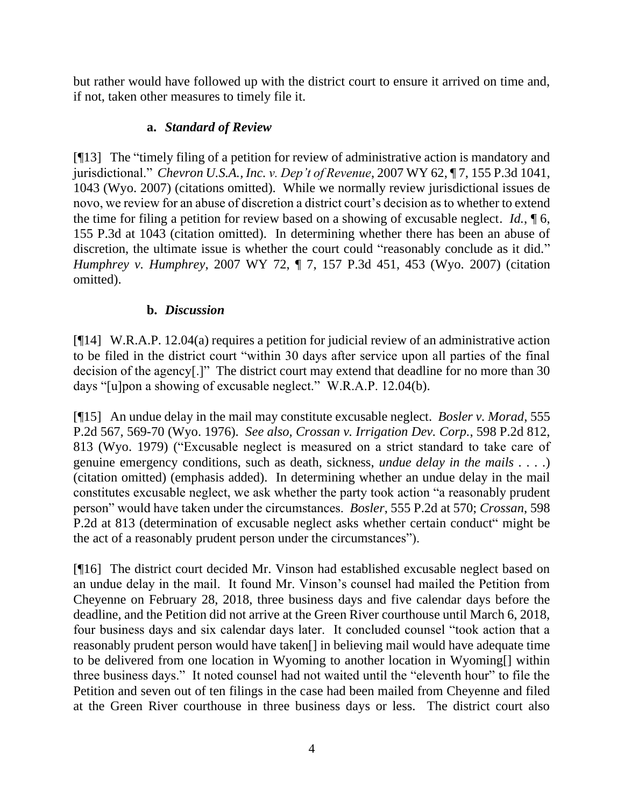but rather would have followed up with the district court to ensure it arrived on time and, if not, taken other measures to timely file it.

# **a.** *Standard of Review*

[¶13] The "timely filing of a petition for review of administrative action is mandatory and jurisdictional." *Chevron U.S.A., Inc. v. Dep't of Revenue*, 2007 WY 62, ¶ 7, 155 P.3d 1041, 1043 (Wyo. 2007) (citations omitted). While we normally review jurisdictional issues de novo, we review for an abuse of discretion a district court's decision as to whether to extend the time for filing a petition for review based on a showing of excusable neglect. *Id.*, ¶ 6, 155 P.3d at 1043 (citation omitted). In determining whether there has been an abuse of discretion, the ultimate issue is whether the court could "reasonably conclude as it did." *Humphrey v. Humphrey*, 2007 WY 72, ¶ 7, 157 P.3d 451, 453 (Wyo. 2007) (citation omitted).

# **b.** *Discussion*

[¶14] W.R.A.P. 12.04(a) requires a petition for judicial review of an administrative action to be filed in the district court "within 30 days after service upon all parties of the final decision of the agency[.]" The district court may extend that deadline for no more than 30 days "[u]pon a showing of excusable neglect." W.R.A.P. 12.04(b).

[¶15] An undue delay in the mail may constitute excusable neglect. *Bosler v. Morad*, 555 P.2d 567, 569-70 (Wyo. 1976). *See also, Crossan v. Irrigation Dev. Corp.*, 598 P.2d 812, 813 (Wyo. 1979) ("Excusable neglect is measured on a strict standard to take care of genuine emergency conditions, such as death, sickness, *undue delay in the mails . . . .*) (citation omitted) (emphasis added). In determining whether an undue delay in the mail constitutes excusable neglect, we ask whether the party took action "a reasonably prudent person" would have taken under the circumstances. *Bosler*, 555 P.2d at 570; *Crossan*, 598 P.2d at 813 (determination of excusable neglect asks whether certain conduct" might be the act of a reasonably prudent person under the circumstances").

[¶16] The district court decided Mr. Vinson had established excusable neglect based on an undue delay in the mail. It found Mr. Vinson's counsel had mailed the Petition from Cheyenne on February 28, 2018, three business days and five calendar days before the deadline, and the Petition did not arrive at the Green River courthouse until March 6, 2018, four business days and six calendar days later. It concluded counsel "took action that a reasonably prudent person would have taken[] in believing mail would have adequate time to be delivered from one location in Wyoming to another location in Wyoming[] within three business days." It noted counsel had not waited until the "eleventh hour" to file the Petition and seven out of ten filings in the case had been mailed from Cheyenne and filed at the Green River courthouse in three business days or less. The district court also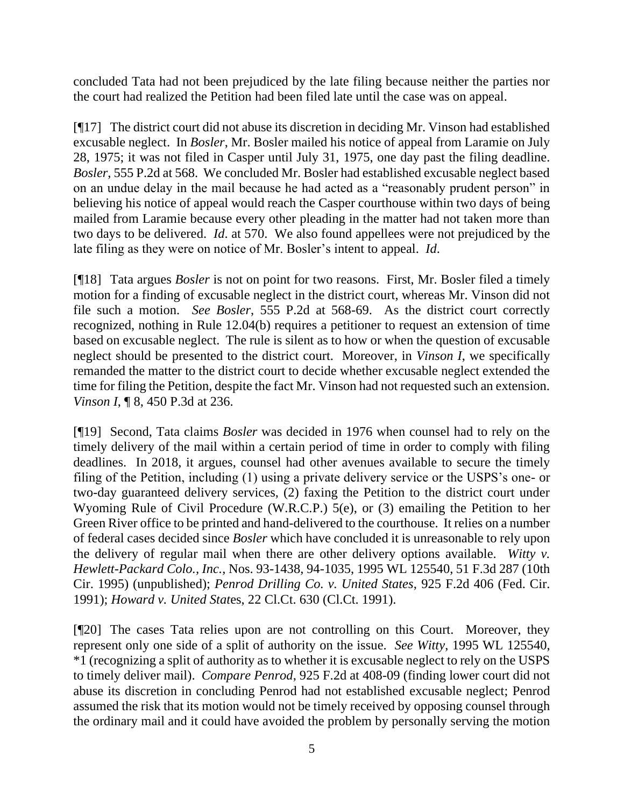concluded Tata had not been prejudiced by the late filing because neither the parties nor the court had realized the Petition had been filed late until the case was on appeal.

[¶17] The district court did not abuse its discretion in deciding Mr. Vinson had established excusable neglect. In *Bosler*, Mr. Bosler mailed his notice of appeal from Laramie on July 28, 1975; it was not filed in Casper until July 31, 1975, one day past the filing deadline. *Bosler*, 555 P.2d at 568. We concluded Mr. Bosler had established excusable neglect based on an undue delay in the mail because he had acted as a "reasonably prudent person" in believing his notice of appeal would reach the Casper courthouse within two days of being mailed from Laramie because every other pleading in the matter had not taken more than two days to be delivered. *Id*. at 570. We also found appellees were not prejudiced by the late filing as they were on notice of Mr. Bosler's intent to appeal. *Id*.

[¶18] Tata argues *Bosler* is not on point for two reasons. First, Mr. Bosler filed a timely motion for a finding of excusable neglect in the district court, whereas Mr. Vinson did not file such a motion. *See Bosler*, 555 P.2d at 568-69. As the district court correctly recognized, nothing in Rule 12.04(b) requires a petitioner to request an extension of time based on excusable neglect. The rule is silent as to how or when the question of excusable neglect should be presented to the district court. Moreover, in *Vinson I*, we specifically remanded the matter to the district court to decide whether excusable neglect extended the time for filing the Petition, despite the fact Mr. Vinson had not requested such an extension. *Vinson I*, **[8, 450 P.3d at 236.** 

[¶19] Second, Tata claims *Bosler* was decided in 1976 when counsel had to rely on the timely delivery of the mail within a certain period of time in order to comply with filing deadlines. In 2018, it argues, counsel had other avenues available to secure the timely filing of the Petition, including (1) using a private delivery service or the USPS's one- or two-day guaranteed delivery services, (2) faxing the Petition to the district court under Wyoming Rule of Civil Procedure (W.R.C.P.) 5(e), or (3) emailing the Petition to her Green River office to be printed and hand-delivered to the courthouse. It relies on a number of federal cases decided since *Bosler* which have concluded it is unreasonable to rely upon the delivery of regular mail when there are other delivery options available. *Witty v. Hewlett-Packard Colo., Inc.*, Nos. 93-1438, 94-1035, 1995 WL 125540, 51 F.3d 287 (10th Cir. 1995) (unpublished); *Penrod Drilling Co. v. United States*, 925 F.2d 406 (Fed. Cir. 1991); *Howard v. United Stat*es, 22 Cl.Ct. 630 (Cl.Ct. 1991).

[¶20] The cases Tata relies upon are not controlling on this Court. Moreover, they represent only one side of a split of authority on the issue. *See Witty*, 1995 WL 125540, \*1 (recognizing a split of authority as to whether it is excusable neglect to rely on the USPS to timely deliver mail). *Compare Penrod*, 925 F.2d at 408-09 (finding lower court did not abuse its discretion in concluding Penrod had not established excusable neglect; Penrod assumed the risk that its motion would not be timely received by opposing counsel through the ordinary mail and it could have avoided the problem by personally serving the motion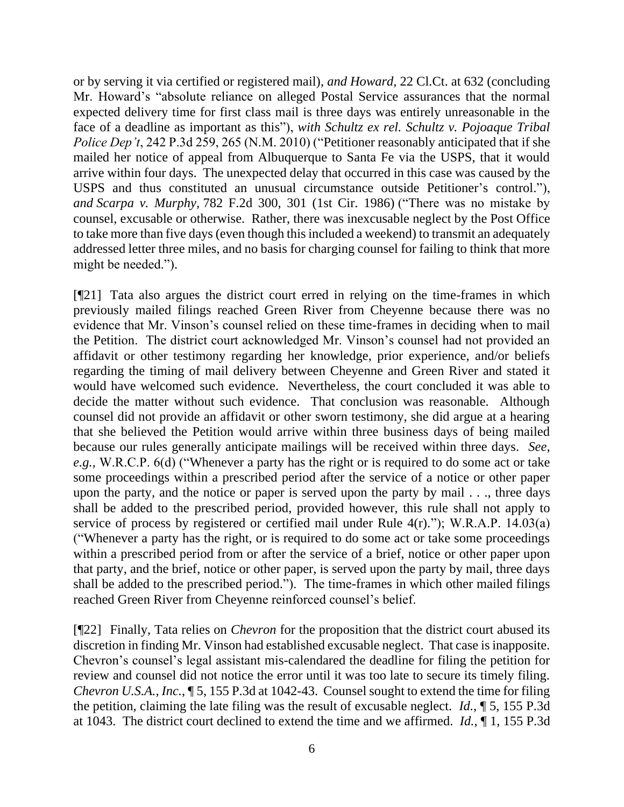or by serving it via certified or registered mail), *and Howard*, 22 Cl.Ct. at 632 (concluding Mr. Howard's "absolute reliance on alleged Postal Service assurances that the normal expected delivery time for first class mail is three days was entirely unreasonable in the face of a deadline as important as this"), *with Schultz ex rel. Schultz v. Pojoaque Tribal Police Dep't*, 242 P.3d 259, 265 (N.M. 2010) ("Petitioner reasonably anticipated that if she mailed her notice of appeal from Albuquerque to Santa Fe via the USPS, that it would arrive within four days. The unexpected delay that occurred in this case was caused by the USPS and thus constituted an unusual circumstance outside Petitioner's control."), *and Scarpa v. Murphy,* [782 F.2d 300, 301 \(1st Cir. 1986\)](https://1.next.westlaw.com/Link/Document/FullText?findType=Y&serNum=1986104861&pubNum=0000350&originatingDoc=Ic29bfe99a62811df84cb933efb759da4&refType=RP&fi=co_pp_sp_350_301&originationContext=document&transitionType=DocumentItem&contextData=(sc.Keycite)#co_pp_sp_350_301) ("There was no mistake by counsel, excusable or otherwise. Rather, there was inexcusable neglect by the Post Office to take more than five days (even though this included a weekend) to transmit an adequately addressed letter three miles, and no basis for charging counsel for failing to think that more might be needed.").

[¶21] Tata also argues the district court erred in relying on the time-frames in which previously mailed filings reached Green River from Cheyenne because there was no evidence that Mr. Vinson's counsel relied on these time-frames in deciding when to mail the Petition. The district court acknowledged Mr. Vinson's counsel had not provided an affidavit or other testimony regarding her knowledge, prior experience, and/or beliefs regarding the timing of mail delivery between Cheyenne and Green River and stated it would have welcomed such evidence. Nevertheless, the court concluded it was able to decide the matter without such evidence. That conclusion was reasonable. Although counsel did not provide an affidavit or other sworn testimony, she did argue at a hearing that she believed the Petition would arrive within three business days of being mailed because our rules generally anticipate mailings will be received within three days. *See, e.g.,* W.R.C.P. 6(d) ("Whenever a party has the right or is required to do some act or take some proceedings within a prescribed period after the service of a notice or other paper upon the party, and the notice or paper is served upon the party by mail . . ., three days shall be added to the prescribed period, provided however, this rule shall not apply to service of process by registered or certified mail under Rule 4(r)."); W.R.A.P. 14.03(a) ("Whenever a party has the right, or is required to do some act or take some proceedings within a prescribed period from or after the service of a brief, notice or other paper upon that party, and the brief, notice or other paper, is served upon the party by mail, three days shall be added to the prescribed period."). The time-frames in which other mailed filings reached Green River from Cheyenne reinforced counsel's belief.

[¶22] Finally, Tata relies on *Chevron* for the proposition that the district court abused its discretion in finding Mr. Vinson had established excusable neglect. That case is inapposite. Chevron's counsel's legal assistant mis-calendared the deadline for filing the petition for review and counsel did not notice the error until it was too late to secure its timely filing. *Chevron U.S.A., Inc.*, ¶ 5, 155 P.3d at 1042-43. Counsel sought to extend the time for filing the petition, claiming the late filing was the result of excusable neglect. *Id.*, ¶ 5, 155 P.3d at 1043. The district court declined to extend the time and we affirmed. *Id.*, ¶ 1, 155 P.3d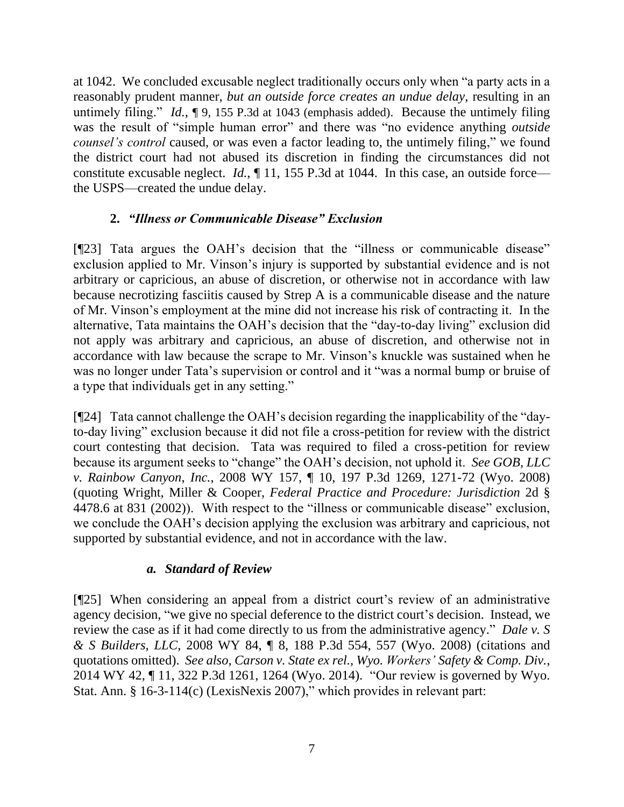at 1042. We concluded excusable neglect traditionally occurs only when "a party acts in a reasonably prudent manner, *but an outside force creates an undue delay*, resulting in an untimely filing." *Id.*,  $\int$  9, 155 P.3d at 1043 (emphasis added). Because the untimely filing was the result of "simple human error" and there was "no evidence anything *outside counsel's control* caused, or was even a factor leading to, the untimely filing," we found the district court had not abused its discretion in finding the circumstances did not constitute excusable neglect. *Id.*, ¶ 11, 155 P.3d at 1044. In this case, an outside force the USPS—created the undue delay.

# **2.** *"Illness or Communicable Disease" Exclusion*

[¶23] Tata argues the OAH's decision that the "illness or communicable disease" exclusion applied to Mr. Vinson's injury is supported by substantial evidence and is not arbitrary or capricious, an abuse of discretion, or otherwise not in accordance with law because necrotizing fasciitis caused by Strep A is a communicable disease and the nature of Mr. Vinson's employment at the mine did not increase his risk of contracting it. In the alternative, Tata maintains the OAH's decision that the "day-to-day living" exclusion did not apply was arbitrary and capricious, an abuse of discretion, and otherwise not in accordance with law because the scrape to Mr. Vinson's knuckle was sustained when he was no longer under Tata's supervision or control and it "was a normal bump or bruise of a type that individuals get in any setting."

[¶24] Tata cannot challenge the OAH's decision regarding the inapplicability of the "dayto-day living" exclusion because it did not file a cross-petition for review with the district court contesting that decision. Tata was required to filed a cross-petition for review because its argument seeks to "change" the OAH's decision, not uphold it. *See GOB, LLC v. Rainbow Canyon*, *Inc.*, 2008 WY 157, ¶ 10, 197 P.3d 1269, 1271-72 (Wyo. 2008) (quoting Wright, Miller & Cooper, *Federal Practice and Procedure: Jurisdiction* 2d § 4478.6 at 831 (2002)). With respect to the "illness or communicable disease" exclusion, we conclude the OAH's decision applying the exclusion was arbitrary and capricious, not supported by substantial evidence, and not in accordance with the law.

## *a. Standard of Review*

[¶25] When considering an appeal from a district court's review of an administrative agency decision, "we give no special deference to the district court's decision. Instead, we review the case as if it had come directly to us from the administrative agency." *Dale v. S & S Builders, LLC*, 2008 WY 84, ¶ 8, 188 P.3d 554, 557 (Wyo. 2008) (citations and quotations omitted). *See also, Carson v. State ex rel., Wyo. Workers' Safety & Comp. Div.*, 2014 WY 42, ¶ 11, 322 P.3d 1261, 1264 (Wyo. 2014). "Our review is governed by Wyo. Stat. Ann. § 16-3-114(c) (LexisNexis 2007)," which provides in relevant part: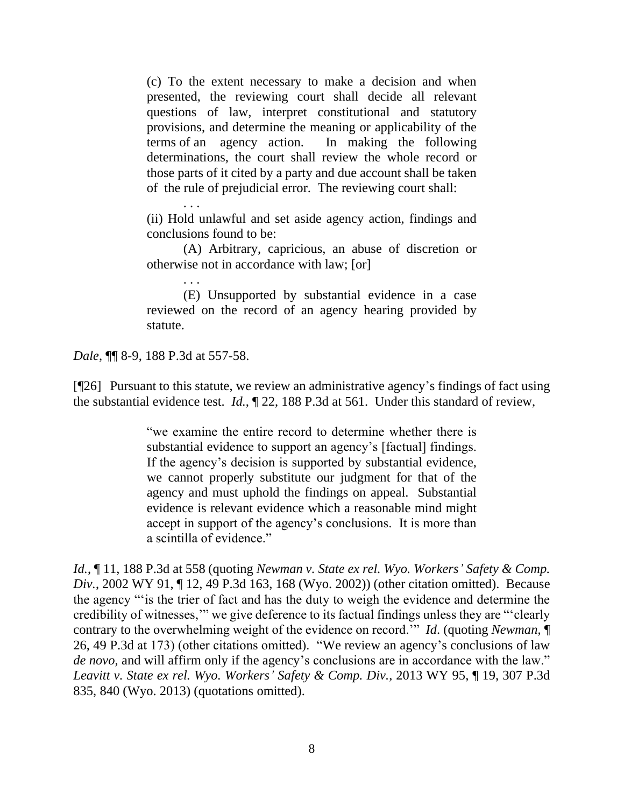(c) To the extent necessary to make a decision and when presented, the reviewing court shall decide all relevant questions of law, interpret constitutional and statutory provisions, and determine the meaning or applicability of the terms of an agency action. In making the following determinations, the court shall review the whole record or those parts of it cited by a party and due account shall be taken of the rule of prejudicial error. The reviewing court shall:

(ii) Hold unlawful and set aside agency action, findings and conclusions found to be:

(A) Arbitrary, capricious, an abuse of discretion or otherwise not in accordance with law; [or]

(E) Unsupported by substantial evidence in a case reviewed on the record of an agency hearing provided by statute.

*Dale*, ¶¶ 8-9, 188 P.3d at 557-58.

. . .

. . .

[¶26] Pursuant to this statute, we review an administrative agency's findings of fact using the substantial evidence test. *Id.*, ¶ 22, 188 P.3d at 561. Under this standard of review,

> "we examine the entire record to determine whether there is substantial evidence to support an agency's [factual] findings. If the agency's decision is supported by substantial evidence, we cannot properly substitute our judgment for that of the agency and must uphold the findings on appeal. Substantial evidence is relevant evidence which a reasonable mind might accept in support of the agency's conclusions. It is more than a scintilla of evidence."

*Id.*, ¶ 11, 188 P.3d at 558 (quoting *Newman v. State ex rel. Wyo. Workers' Safety & Comp. Div.*, 2002 WY 91, ¶ 12, 49 P.3d 163, 168 (Wyo. 2002)) (other citation omitted). Because the agency "'is the trier of fact and has the duty to weigh the evidence and determine the credibility of witnesses,'" we give deference to its factual findings unless they are "'clearly contrary to the overwhelming weight of the evidence on record.'" *Id*. (quoting *Newman*, ¶ 26, 49 P.3d at 173) (other citations omitted). "We review an agency's conclusions of law *de novo*, and will affirm only if the agency's conclusions are in accordance with the law." *Leavitt v. State ex rel. Wyo. Workers' Safety & Comp. Div.*, 2013 WY 95, ¶ 19, 307 P.3d 835, 840 (Wyo. 2013) (quotations omitted).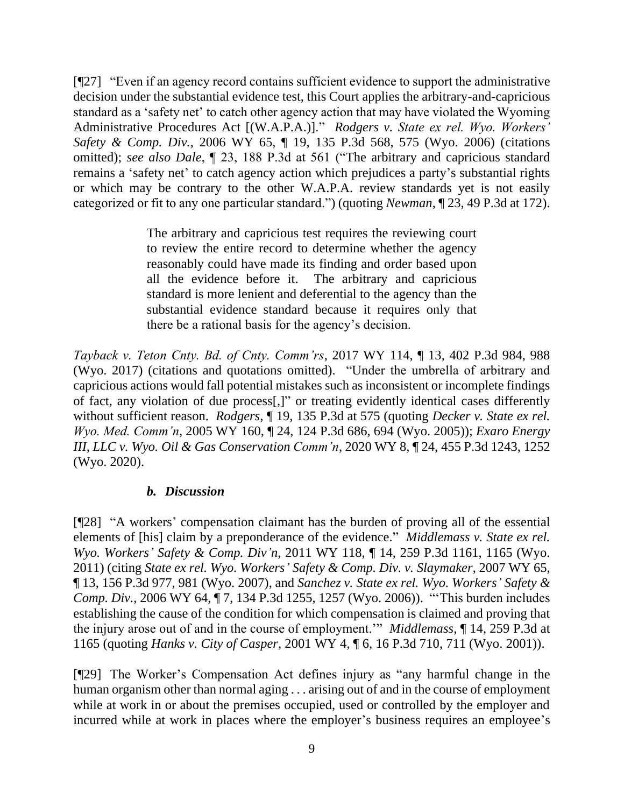[¶27] "Even if an agency record contains sufficient evidence to support the administrative decision under the substantial evidence test, this Court applies the arbitrary-and-capricious standard as a 'safety net' to catch other agency action that may have violated the Wyoming Administrative Procedures Act [(W.A.P.A.)]." *Rodgers v. State ex rel. Wyo. Workers' Safety & Comp. Div.*, 2006 WY 65, ¶ 19, 135 P.3d 568, 575 (Wyo. 2006) (citations omitted); *see also Dale*, ¶ 23, 188 P.3d at 561 ("The arbitrary and capricious standard remains a 'safety net' to catch agency action which prejudices a party's substantial rights or which may be contrary to the other W.A.P.A. review standards yet is not easily categorized or fit to any one particular standard.") (quoting *Newman*, ¶ 23, 49 P.3d at 172).

> The arbitrary and capricious test requires the reviewing court to review the entire record to determine whether the agency reasonably could have made its finding and order based upon all the evidence before it. The arbitrary and capricious standard is more lenient and deferential to the agency than the substantial evidence standard because it requires only that there be a rational basis for the agency's decision.

*Tayback v. Teton Cnty. Bd. of Cnty. Comm'rs*, 2017 WY 114, ¶ 13, 402 P.3d 984, 988 (Wyo. 2017) (citations and quotations omitted). "Under the umbrella of arbitrary and capricious actions would fall potential mistakes such as inconsistent or incomplete findings of fact, any violation of due process[,]" or treating evidently identical cases differently without sufficient reason. *Rodgers*, ¶ 19, 135 P.3d at 575 (quoting *Decker v. State ex rel. Wyo. Med. Comm'n*, 2005 WY 160, ¶ 24, 124 P.3d 686, 694 (Wyo. 2005)); *Exaro Energy III, LLC v. Wyo. Oil & Gas Conservation Comm'n*, 2020 WY 8, ¶ 24, 455 P.3d 1243, 1252 (Wyo. 2020).

### *b. Discussion*

[¶28] "A workers' compensation claimant has the burden of proving all of the essential elements of [his] claim by a preponderance of the evidence." *Middlemass v. State ex rel. Wyo. Workers' Safety & Comp. Div'n*, 2011 WY 118, ¶ 14, 259 P.3d 1161, 1165 (Wyo. 2011) (citing *State ex rel. Wyo. Workers' Safety & Comp. Div. v. Slaymaker*, 2007 WY 65, ¶ 13, 156 P.3d 977, 981 (Wyo. 2007), and *Sanchez v. State ex rel. Wyo. Workers' Safety & Comp. Div.*, 2006 WY 64, ¶ 7, 134 P.3d 1255, 1257 (Wyo. 2006)). "'This burden includes establishing the cause of the condition for which compensation is claimed and proving that the injury arose out of and in the course of employment.'" *Middlemass*, ¶ 14, 259 P.3d at 1165 (quoting *Hanks v. City of Casper*, 2001 WY 4, ¶ 6, 16 P.3d 710, 711 (Wyo. 2001)).

[¶29] The Worker's Compensation Act defines injury as "any harmful change in the human organism other than normal aging . . . arising out of and in the course of employment while at work in or about the premises occupied, used or controlled by the employer and incurred while at work in places where the employer's business requires an employee's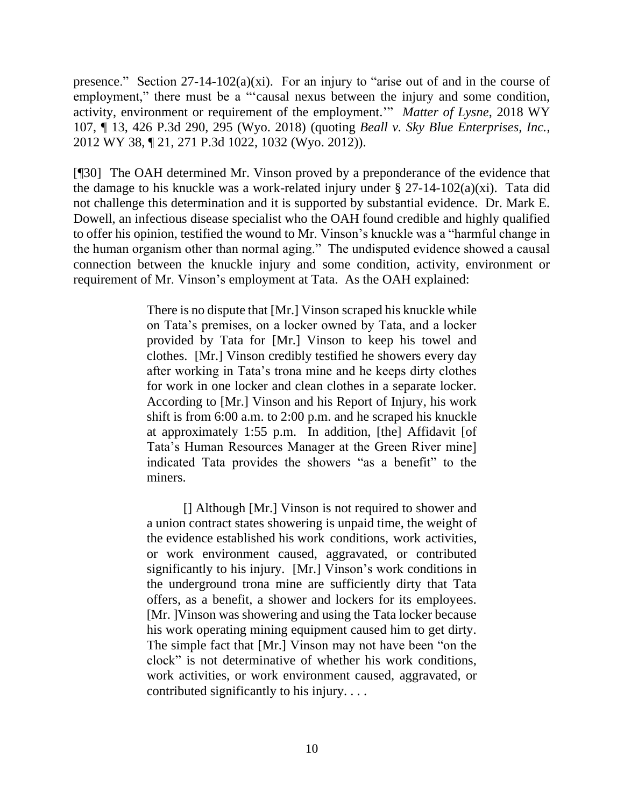presence." Section  $27-14-102(a)(xi)$ . For an injury to "arise out of and in the course of employment," there must be a "'causal nexus between the injury and some condition, activity, environment or requirement of the employment.'" *Matter of Lysne*, 2018 WY 107, ¶ 13, 426 P.3d 290, 295 (Wyo. 2018) (quoting *Beall v. Sky Blue Enterprises, Inc.*, 2012 WY 38, ¶ 21, 271 P.3d 1022, 1032 (Wyo. 2012)).

[¶30] The OAH determined Mr. Vinson proved by a preponderance of the evidence that the damage to his knuckle was a work-related injury under  $\S 27$ -14-102(a)(xi). Tata did not challenge this determination and it is supported by substantial evidence. Dr. Mark E. Dowell, an infectious disease specialist who the OAH found credible and highly qualified to offer his opinion, testified the wound to Mr. Vinson's knuckle was a "harmful change in the human organism other than normal aging." The undisputed evidence showed a causal connection between the knuckle injury and some condition, activity, environment or requirement of Mr. Vinson's employment at Tata. As the OAH explained:

> There is no dispute that [Mr.] Vinson scraped his knuckle while on Tata's premises, on a locker owned by Tata, and a locker provided by Tata for [Mr.] Vinson to keep his towel and clothes. [Mr.] Vinson credibly testified he showers every day after working in Tata's trona mine and he keeps dirty clothes for work in one locker and clean clothes in a separate locker. According to [Mr.] Vinson and his Report of Injury, his work shift is from 6:00 a.m. to 2:00 p.m. and he scraped his knuckle at approximately 1:55 p.m. In addition, [the] Affidavit [of Tata's Human Resources Manager at the Green River mine] indicated Tata provides the showers "as a benefit" to the miners.

> [] Although [Mr.] Vinson is not required to shower and a union contract states showering is unpaid time, the weight of the evidence established his work conditions, work activities, or work environment caused, aggravated, or contributed significantly to his injury. [Mr.] Vinson's work conditions in the underground trona mine are sufficiently dirty that Tata offers, as a benefit, a shower and lockers for its employees. [Mr. ]Vinson was showering and using the Tata locker because his work operating mining equipment caused him to get dirty. The simple fact that [Mr.] Vinson may not have been "on the clock" is not determinative of whether his work conditions, work activities, or work environment caused, aggravated, or contributed significantly to his injury. . . .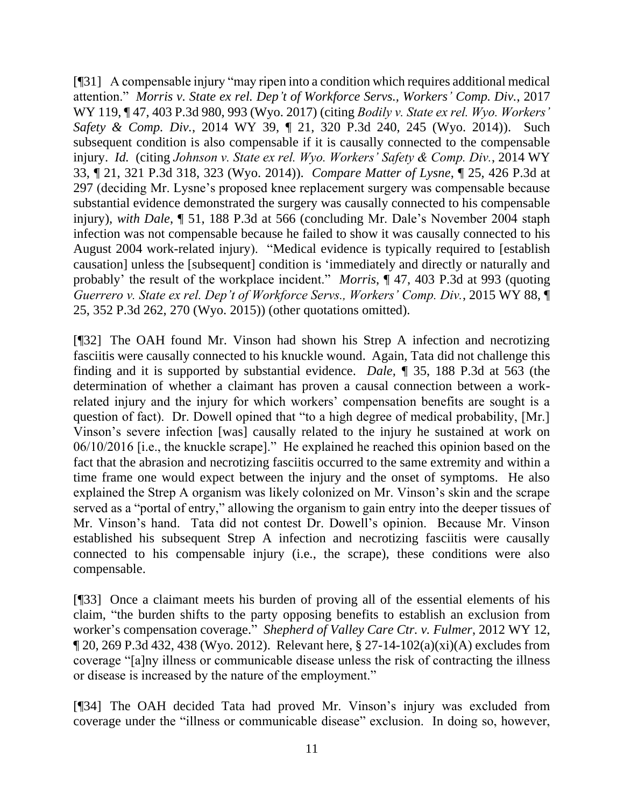[¶31] A compensable injury "may ripen into a condition which requires additional medical attention." *Morris v. State ex rel. Dep't of Workforce Servs., Workers' Comp. Div.*, 2017 WY 119, ¶ 47, 403 P.3d 980, 993 (Wyo. 2017) (citing *Bodily v. State ex rel. Wyo. Workers' Safety & Comp. Div.*, 2014 WY 39, ¶ 21, 320 P.3d 240, 245 (Wyo. 2014)). Such subsequent condition is also compensable if it is causally connected to the compensable injury. *Id.* (citing *Johnson v. State ex rel. Wyo. Workers' Safety & Comp. Div.*, 2014 WY 33, ¶ 21, 321 P.3d 318, 323 (Wyo. 2014)). *Compare Matter of Lysne*, ¶ 25, 426 P.3d at 297 (deciding Mr. Lysne's proposed knee replacement surgery was compensable because substantial evidence demonstrated the surgery was causally connected to his compensable injury), *with Dale*, ¶ 51, 188 P.3d at 566 (concluding Mr. Dale's November 2004 staph infection was not compensable because he failed to show it was causally connected to his August 2004 work-related injury). "Medical evidence is typically required to [establish causation] unless the [subsequent] condition is 'immediately and directly or naturally and probably' the result of the workplace incident." *Morris*, ¶ 47, 403 P.3d at 993 (quoting *Guerrero v. State ex rel. Dep't of Workforce Servs., Workers' Comp. Div.*, 2015 WY 88, ¶ 25, 352 P.3d 262, 270 (Wyo. 2015)) (other quotations omitted).

[¶32] The OAH found Mr. Vinson had shown his Strep A infection and necrotizing fasciitis were causally connected to his knuckle wound. Again, Tata did not challenge this finding and it is supported by substantial evidence. *Dale, ¶* 35, 188 P.3d at 563 (the determination of whether a claimant has proven a causal connection between a workrelated injury and the injury for which workers' compensation benefits are sought is a question of fact). Dr. Dowell opined that "to a high degree of medical probability, [Mr.] Vinson's severe infection [was] causally related to the injury he sustained at work on 06/10/2016 [i.e., the knuckle scrape]." He explained he reached this opinion based on the fact that the abrasion and necrotizing fasciitis occurred to the same extremity and within a time frame one would expect between the injury and the onset of symptoms. He also explained the Strep A organism was likely colonized on Mr. Vinson's skin and the scrape served as a "portal of entry," allowing the organism to gain entry into the deeper tissues of Mr. Vinson's hand. Tata did not contest Dr. Dowell's opinion. Because Mr. Vinson established his subsequent Strep A infection and necrotizing fasciitis were causally connected to his compensable injury (i.e., the scrape), these conditions were also compensable.

[¶33] Once a claimant meets his burden of proving all of the essential elements of his claim, "the burden shifts to the party opposing benefits to establish an exclusion from worker's compensation coverage." *Shepherd of Valley Care Ctr. v. Fulmer*, 2012 WY 12,  $\P$  20, 269 P.3d 432, 438 (Wyo. 2012). Relevant here, § 27-14-102(a)(xi)(A) excludes from coverage "[a]ny illness or communicable disease unless the risk of contracting the illness or disease is increased by the nature of the employment."

[¶34] The OAH decided Tata had proved Mr. Vinson's injury was excluded from coverage under the "illness or communicable disease" exclusion. In doing so, however,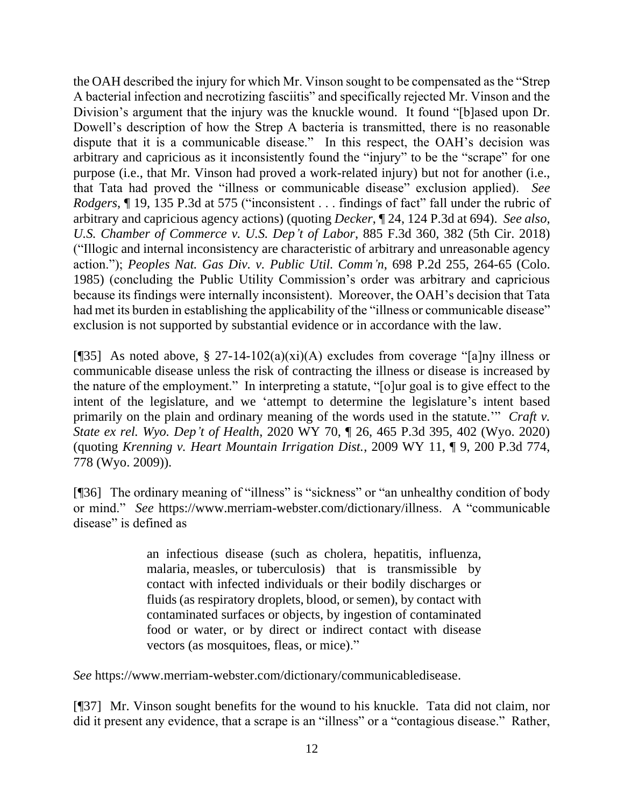the OAH described the injury for which Mr. Vinson sought to be compensated as the "Strep A bacterial infection and necrotizing fasciitis" and specifically rejected Mr. Vinson and the Division's argument that the injury was the knuckle wound. It found "[b]ased upon Dr. Dowell's description of how the Strep A bacteria is transmitted, there is no reasonable dispute that it is a communicable disease." In this respect, the OAH's decision was arbitrary and capricious as it inconsistently found the "injury" to be the "scrape" for one purpose (i.e., that Mr. Vinson had proved a work-related injury) but not for another (i.e., that Tata had proved the "illness or communicable disease" exclusion applied). *See Rodgers*, ¶ 19, 135 P.3d at 575 ("inconsistent . . . findings of fact" fall under the rubric of arbitrary and capricious agency actions) (quoting *Decker*, ¶ 24, 124 P.3d at 694). *See also, U.S. Chamber of Commerce v. U.S. Dep't of Labor*, 885 F.3d 360, 382 (5th Cir. 2018) ("Illogic and internal inconsistency are characteristic of arbitrary and unreasonable agency action."); *Peoples Nat. Gas Div. v. Public Util. Comm'n*, 698 P.2d 255, 264-65 (Colo. 1985) (concluding the Public Utility Commission's order was arbitrary and capricious because its findings were internally inconsistent). Moreover, the OAH's decision that Tata had met its burden in establishing the applicability of the "illness or communicable disease" exclusion is not supported by substantial evidence or in accordance with the law.

[¶35] As noted above, § 27-14-102(a)(xi)(A) excludes from coverage "[a]ny illness or communicable disease unless the risk of contracting the illness or disease is increased by the nature of the employment." In interpreting a statute, "[o]ur goal is to give effect to the intent of the legislature, and we 'attempt to determine the legislature's intent based primarily on the plain and ordinary meaning of the words used in the statute.'" *Craft v. State ex rel. Wyo. Dep't of Health*, 2020 WY 70, ¶ 26, 465 P.3d 395, 402 (Wyo. 2020) (quoting *Krenning v. Heart Mountain Irrigation Dist.*, 2009 WY 11, ¶ 9, 200 P.3d 774, 778 (Wyo. 2009)).

[¶36] The ordinary meaning of "illness" is "sickness" or "an unhealthy condition of body or mind." *See* https://www.merriam-webster.com/dictionary/illness. A "communicable disease" is defined as

> an infectious disease (such as cholera, hepatitis, influenza, malaria, measles, or tuberculosis) that is transmissible by contact with infected individuals or their bodily discharges or fluids (as respiratory droplets, blood, or semen), by contact with contaminated surfaces or objects, by ingestion of contaminated food or water, or by direct or indirect contact with disease vectors (as mosquitoes, fleas, or mice)."

*See* https://www.merriam-webster.com/dictionary/communicabledisease.

[¶37] Mr. Vinson sought benefits for the wound to his knuckle. Tata did not claim, nor did it present any evidence, that a scrape is an "illness" or a "contagious disease." Rather,